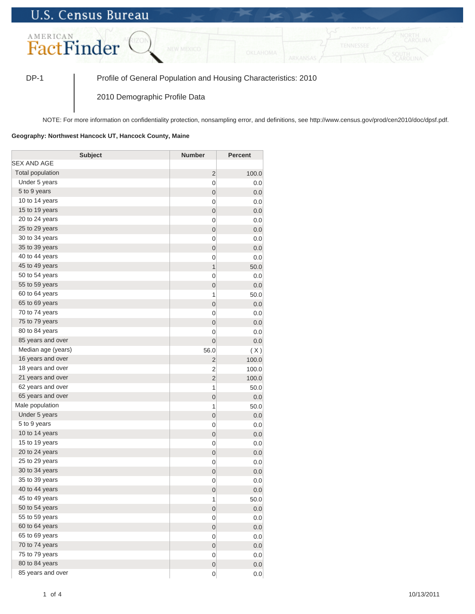## **U.S. Census Bureau**



DP-1 Profile of General Population and Housing Characteristics: 2010

2010 Demographic Profile Data

NOTE: For more information on confidentiality protection, nonsampling error, and definitions, see http://www.census.gov/prod/cen2010/doc/dpsf.pdf.

## **Geography: Northwest Hancock UT, Hancock County, Maine**

| <b>Subject</b>          | <b>Number</b>  | <b>Percent</b> |
|-------------------------|----------------|----------------|
| SEX AND AGE             |                |                |
| <b>Total population</b> | $\overline{2}$ | 100.0          |
| Under 5 years           | 0              | 0.0            |
| 5 to 9 years            | 0              | 0.0            |
| 10 to 14 years          | 0              | 0.0            |
| 15 to 19 years          | $\mathbf 0$    | 0.0            |
| 20 to 24 years          | 0              | 0.0            |
| 25 to 29 years          | $\mathbf 0$    | 0.0            |
| 30 to 34 years          | 0              | 0.0            |
| 35 to 39 years          | $\mathbf 0$    | 0.0            |
| 40 to 44 years          | 0              | 0.0            |
| 45 to 49 years          | 1              | 50.0           |
| 50 to 54 years          | 0              | 0.0            |
| 55 to 59 years          | $\mathbf 0$    | 0.0            |
| 60 to 64 years          | 1              | 50.0           |
| 65 to 69 years          | $\mathbf 0$    | 0.0            |
| 70 to 74 years          | 0              | 0.0            |
| 75 to 79 years          | $\mathbf 0$    | 0.0            |
| 80 to 84 years          | 0              | 0.0            |
| 85 years and over       | $\mathbf 0$    | 0.0            |
| Median age (years)      | 56.0           | (X)            |
| 16 years and over       | 2              | 100.0          |
| 18 years and over       | 2              | 100.0          |
| 21 years and over       | $\overline{2}$ | 100.0          |
| 62 years and over       | 1              | 50.0           |
| 65 years and over       | $\mathbf 0$    | 0.0            |
| Male population         | 1              | 50.0           |
| Under 5 years           | $\mathbf 0$    | 0.0            |
| 5 to 9 years            | 0              | 0.0            |
| 10 to 14 years          | $\mathbf 0$    | 0.0            |
| 15 to 19 years          | 0              | 0.0            |
| 20 to 24 years          | $\mathbf 0$    | 0.0            |
| 25 to 29 years          | 0              | 0.0            |
| 30 to 34 years          | $\mathbf 0$    | 0.0            |
| 35 to 39 years          | 0              | 0.0            |
| 40 to 44 years          | $\mathbf 0$    | 0.0            |
| 45 to 49 years          | 1              | 50.0           |
| 50 to 54 years          | $\mathbf{0}$   | 0.0            |
| 55 to 59 years          | 0              | 0.0            |
| 60 to 64 years          | $\mathbf{0}$   | 0.0            |
| 65 to 69 years          | 0              | 0.0            |
| 70 to 74 years          | $\mathbf{0}$   | 0.0            |
| 75 to 79 years          | 0              | 0.0            |
| 80 to 84 years          | $\mathbf 0$    | 0.0            |
| 85 years and over       | 0              | 0.0            |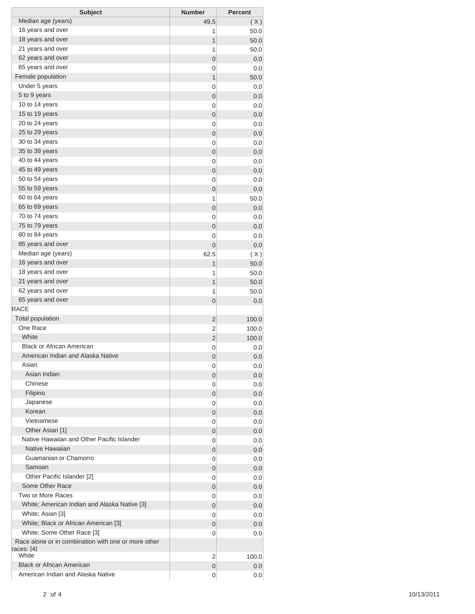| <b>Subject</b>                                                    | <b>Number</b>  | <b>Percent</b> |
|-------------------------------------------------------------------|----------------|----------------|
| Median age (years)                                                | 49.5           | (X)            |
| 16 years and over                                                 | 1              | 50.0           |
| 18 years and over                                                 | 1              | 50.0           |
| 21 years and over                                                 | 1              | 50.0           |
| 62 years and over                                                 | 0              | 0.0            |
| 65 years and over                                                 | 0              | 0.0            |
| Female population                                                 | $\mathbf{1}$   | 50.0           |
| Under 5 years                                                     | 0              | 0.0            |
| 5 to 9 years                                                      | 0              | 0.0            |
| 10 to 14 years                                                    | 0              | 0.0            |
| 15 to 19 years                                                    | $\mathbf 0$    | 0.0            |
| 20 to 24 years                                                    | 0              | 0.0            |
| 25 to 29 years                                                    | $\mathbf 0$    | 0.0            |
| 30 to 34 years                                                    | 0              | 0.0            |
| 35 to 39 years                                                    | $\mathbf 0$    | 0.0            |
| 40 to 44 years                                                    | 0              | 0.0            |
| 45 to 49 years                                                    | $\mathbf 0$    | 0.0            |
| 50 to 54 years                                                    | 0              | 0.0            |
| 55 to 59 years                                                    | 0              | 0.0            |
| 60 to 64 years                                                    | 1              | 50.0           |
| 65 to 69 years                                                    | 0              | 0.0            |
| 70 to 74 years                                                    | 0              | 0.0            |
| 75 to 79 years                                                    | $\mathbf 0$    | 0.0            |
| 80 to 84 years                                                    | 0              | 0.0            |
| 85 years and over                                                 | 0              | 0.0            |
| Median age (years)                                                | 62.5           |                |
| 16 years and over                                                 | 1              | (X)            |
| 18 years and over                                                 |                | 50.0           |
| 21 years and over                                                 | 1<br>1         | 50.0           |
| 62 years and over                                                 |                | 50.0           |
| 65 years and over                                                 | 1              | 50.0           |
| RACE                                                              | 0              | 0.0            |
| <b>Total population</b>                                           |                |                |
| One Race                                                          | $\overline{2}$ | 100.0          |
| White                                                             | 2              | 100.0          |
| <b>Black or African American</b>                                  | $\overline{2}$ | 100.0          |
| American Indian and Alaska Native                                 | 0              | 0.0            |
| Asian                                                             | 0              | 0.0            |
| Asian Indian                                                      | 0              | 0.0            |
| Chinese                                                           | 0              | 0.0            |
| Filipino                                                          | 0              | 0.0            |
|                                                                   | 0              | 0.0            |
| Japanese<br>Korean                                                | 0              | 0.0            |
| Vietnamese                                                        | 0              | 0.0            |
|                                                                   | 0              | 0.0            |
| Other Asian [1]<br>Native Hawaiian and Other Pacific Islander     | 0              | 0.0            |
| Native Hawaiian                                                   | 0              | 0.0            |
|                                                                   | 0              | 0.0            |
| Guamanian or Chamorro                                             | 0              | 0.0            |
| Samoan                                                            | 0              | 0.0            |
| Other Pacific Islander [2]<br>Some Other Race                     | 0              | 0.0            |
|                                                                   | 0              | 0.0            |
| Two or More Races                                                 | 0              | 0.0            |
| White; American Indian and Alaska Native [3]                      | 0              | 0.0            |
| White; Asian [3]                                                  | 0              | 0.0            |
| White; Black or African American [3]                              | 0              | 0.0            |
| White; Some Other Race [3]                                        | 0              | 0.0            |
| Race alone or in combination with one or more other<br>races: [4] |                |                |
| White                                                             | 2              | 100.0          |
| <b>Black or African American</b>                                  | 0              | 0.0            |
| American Indian and Alaska Native                                 | 0              | 0.0            |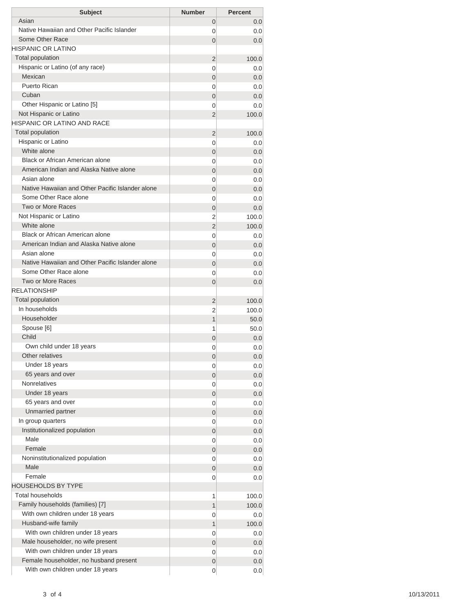| <b>Subject</b>                                   | <b>Number</b>  | <b>Percent</b> |
|--------------------------------------------------|----------------|----------------|
| Asian                                            | 0              | 0.0            |
| Native Hawaiian and Other Pacific Islander       | 0              | 0.0            |
| Some Other Race                                  | $\Omega$       | 0.0            |
| <b>HISPANIC OR LATINO</b>                        |                |                |
| <b>Total population</b>                          | $\overline{2}$ | 100.0          |
| Hispanic or Latino (of any race)                 | $\Omega$       | 0.0            |
| Mexican                                          | 0              | 0.0            |
| Puerto Rican                                     | 0              | 0.0            |
| Cuban                                            | 0              | 0.0            |
| Other Hispanic or Latino [5]                     | 0              | 0.0            |
| Not Hispanic or Latino                           | 2              | 100.0          |
| HISPANIC OR LATINO AND RACE                      |                |                |
| <b>Total population</b>                          | $\overline{2}$ | 100.0          |
| Hispanic or Latino                               | 0              | 0.0            |
| White alone                                      | 0              | 0.0            |
| Black or African American alone                  | 0              | 0.0            |
| American Indian and Alaska Native alone          | 0              | 0.0            |
| Asian alone                                      | 0              | 0.0            |
| Native Hawaiian and Other Pacific Islander alone | 0              | 0.0            |
| Some Other Race alone                            | 0              | 0.0            |
| Two or More Races                                | 0              | 0.0            |
| Not Hispanic or Latino                           | 2              | 100.0          |
| White alone                                      | 2              | 100.0          |
| Black or African American alone                  | 0              | 0.0            |
| American Indian and Alaska Native alone          | 0              | 0.0            |
| Asian alone                                      | 0              | 0.0            |
| Native Hawaiian and Other Pacific Islander alone | $\overline{0}$ | 0.0            |
| Some Other Race alone                            | 0              | 0.0            |
| <b>Two or More Races</b>                         | $\overline{0}$ | 0.0            |
| <b>RELATIONSHIP</b>                              |                |                |
| Total population                                 | 2              | 100.0          |
| In households                                    | 2              | 100.0          |
| Householder                                      | 1              | 50.0           |
| Spouse [6]                                       | 1              | 50.0           |
| Child                                            | 0              | 0.0            |
| Own child under 18 years                         | 0              | 0.0            |
| Other relatives                                  | $\mathbf 0$    | 0.0            |
| Under 18 years                                   | 0              | 0.0            |
| 65 years and over                                | 0              | 0.0            |
| <b>Nonrelatives</b>                              | 0              | 0.0            |
| Under 18 years                                   | 0              | 0.0            |
| 65 years and over                                | 0              | 0.0            |
| Unmarried partner                                | 0              | 0.0            |
| In group quarters                                | 0              | 0.0            |
| Institutionalized population                     | 0              | 0.0            |
| Male                                             | 0              | 0.0            |
| Female                                           | 0              | 0.0            |
| Noninstitutionalized population                  | 0              | 0.0            |
| Male                                             | 0              | 0.0            |
| Female                                           | 0              | 0.0            |
| <b>HOUSEHOLDS BY TYPE</b>                        |                |                |
| <b>Total households</b>                          | 1              | 100.0          |
| Family households (families) [7]                 | 1              | 100.0          |
| With own children under 18 years                 | 0              | 0.0            |
| Husband-wife family                              | 1              | 100.0          |
| With own children under 18 years                 | 0              | 0.0            |
| Male householder, no wife present                | 0              | 0.0            |
| With own children under 18 years                 | 0              | 0.0            |
| Female householder, no husband present           | 0              | 0.0            |
| With own children under 18 years                 | 0              | 0.0            |